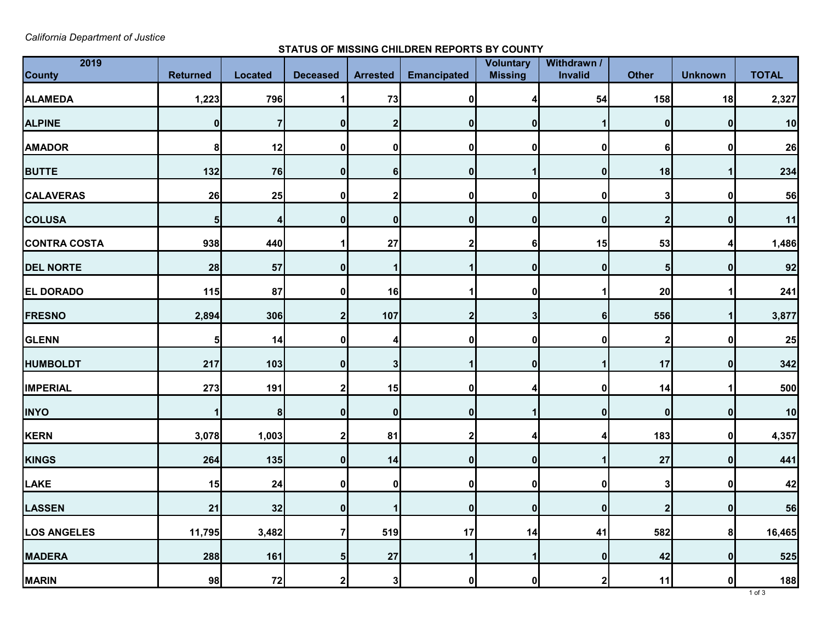*California Department of Justice* 

## **STATUS OF MISSING CHILDREN REPORTS BY COUNTY**

| 2019                |                 |                |                 |                 |                    | Voluntary      | Withdrawn /      |                  |                |              |
|---------------------|-----------------|----------------|-----------------|-----------------|--------------------|----------------|------------------|------------------|----------------|--------------|
| <b>County</b>       | <b>Returned</b> | <b>Located</b> | <b>Deceased</b> | <b>Arrested</b> | <b>Emancipated</b> | <b>Missing</b> | <b>Invalid</b>   | <b>Other</b>     | <b>Unknown</b> | <b>TOTAL</b> |
| <b>ALAMEDA</b>      | 1,223           | 796            |                 | 73              | O                  |                | 54               | 158              | 18             | 2,327        |
| <b>ALPINE</b>       | 0               |                |                 |                 |                    |                |                  | 0                | 0              | 10           |
| <b>AMADOR</b>       | 8 <sup>1</sup>  | 12             |                 | $\mathbf{0}$    | O                  |                | 0                | $6 \mid$         |                | 26           |
| <b>BUTTE</b>        | 132             | 76             |                 | 61              | 01                 |                | $\mathbf 0$      | 18               |                | 234          |
| <b>CALAVERAS</b>    | 26              | 25             |                 |                 |                    |                | 0                | 3                |                | 56           |
| <b>COLUSA</b>       | 5               |                |                 | 0               | 0                  |                | $\mathbf{0}$     | $\overline{2}$   | 0              | 11           |
| <b>CONTRA COSTA</b> | 938             | 440            |                 | 27              |                    |                | 15               | 53               |                | 1,486        |
| <b>DEL NORTE</b>    | 28              | 57             | Ω               |                 |                    |                | $\mathbf{0}$     | 5 <sub>l</sub>   | n              | 92           |
| <b>EL DORADO</b>    | 115             | 87             |                 | 16              |                    |                |                  | 20               |                | 241          |
| <b>FRESNO</b>       | 2,894           | 306            |                 | 107             |                    |                | 6                | 556              |                | 3,877        |
| <b>GLENN</b>        | 5               | 14             |                 |                 |                    |                | 0                | $\boldsymbol{2}$ |                | 25           |
| <b>HUMBOLDT</b>     | 217             | 103            | ŋ               | 31              |                    | 0              |                  | 17               | n              | 342          |
| <b>IMPERIAL</b>     | 273             | 191            |                 | 15              | 01                 |                | 0                | 14               |                | 500          |
| <b>INYO</b>         |                 | 8              |                 | 01              |                    |                | $\mathbf{0}$     | 0                |                | 10           |
| KERN                | 3,078           | 1,003          | າ               | 81              | 2                  |                |                  | 183              | 0              | 4,357        |
| KINGS               | 264             | 135            | 0               | 14              | 0                  | 0              |                  | <b>27</b>        | 0              | 441          |
| LAKE                | 15              | 24             | 0               | 0               | 0                  |                | $\mathbf 0$      | 3                | $\mathbf 0$    | 42           |
| LASSEN              | 21              | 32             | $\bf{0}$        |                 | 0                  | 0              | $\boldsymbol{0}$ | $\mathbf{2}$     | 0              | 56           |
| <b>LOS ANGELES</b>  | 11,795          | 3,482          |                 | 519             | 17                 | 14             | 41               | 582              | 8 <sup>1</sup> | 16,465       |
| <b>MADERA</b>       | 288             | 161            | 5               | 27              |                    |                | 0                | 42               | 0              | 525          |
| <b>MARIN</b>        | 98              | 72             | 2               | 3               | 0                  | 0              | $\mathbf{2}$     | 11               | 0              | 188          |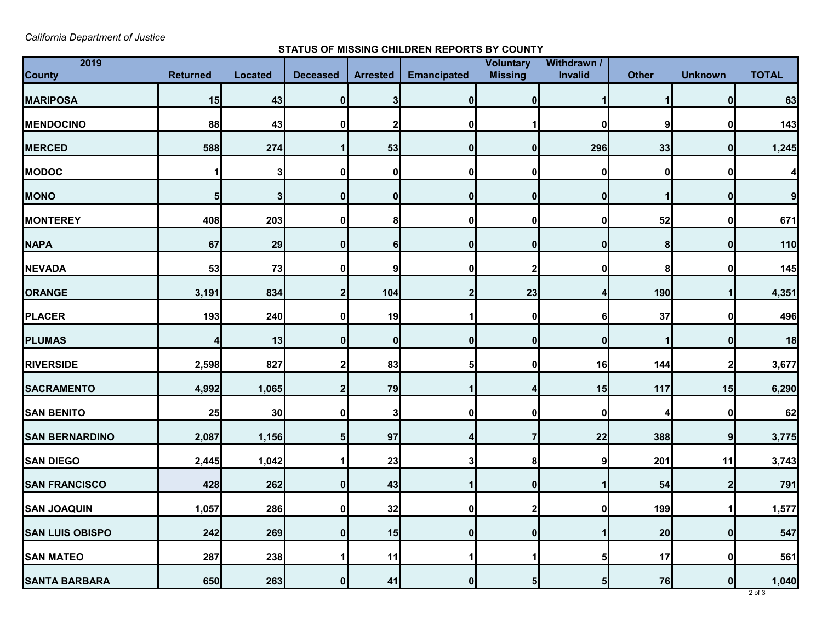*California Department of Justice* 

## **STATUS OF MISSING CHILDREN REPORTS BY COUNTY**

| 2019<br><b>County</b>  | <b>Returned</b> | <b>Located</b> | <b>Deceased</b> | <b>Arrested</b> | <b>Emancipated</b> | <b>Voluntary</b><br><b>Missing</b> | Withdrawn /<br>Invalid | <b>Other</b> | <b>Unknown</b>   | <b>TOTAL</b>     |
|------------------------|-----------------|----------------|-----------------|-----------------|--------------------|------------------------------------|------------------------|--------------|------------------|------------------|
| <b>MARIPOSA</b>        | 15              | 43             | 0               | 3               | O                  |                                    |                        |              | $\bf{0}$         | 63               |
| <b>MENDOCINO</b>       | 88              | 43             |                 |                 |                    |                                    |                        | 9            | 0                | 143              |
| <b>MERCED</b>          | 588             | 274            |                 | 53              | O                  |                                    | 296                    | 33           | 0                | 1,245            |
| <b>MODOC</b>           |                 | 3              |                 | 0               |                    |                                    | 0                      | 0            | 0                | $\boldsymbol{4}$ |
| <b>MONO</b>            | 5               | 3              |                 | 0               | 0                  |                                    | $\mathbf{0}$           |              | 0                | $\overline{9}$   |
| <b>MONTEREY</b>        | 408             | 203            |                 | 8               |                    |                                    | 0                      | 52           | 0                | 671              |
| <b>NAPA</b>            | 67              | 29             |                 | 61              | $\bf{0}$           |                                    | 0                      | 8            | 0                | 110              |
| <b>NEVADA</b>          | 53              | 73             |                 | 9               | 0                  |                                    | $\mathbf 0$            | 8            | 0                | 145              |
| <b>ORANGE</b>          | 3,191           | 834            |                 | 104             |                    | 23                                 | 4                      | 190          |                  | 4,351            |
| PLACER                 | 193             | 240            |                 | 19              |                    |                                    | 6                      | 37           | 0                | 496              |
| <b>PLUMAS</b>          |                 | 13             |                 | 0               |                    |                                    | 0                      |              | 0                | 18               |
| <b>RIVERSIDE</b>       | 2,598           | 827            |                 | 83              | ы                  |                                    | 16                     | 144          | 2                | 3,677            |
| <b>SACRAMENTO</b>      | 4,992           | 1,065          |                 | 79              |                    |                                    | 15                     | 117          | 15               | 6,290            |
| <b>SAN BENITO</b>      | 25              | 30             |                 |                 |                    |                                    | 0                      |              | 0                | 62               |
| <b>SAN BERNARDINO</b>  | 2,087           | 1,156          | 5               | 97              | 4                  |                                    | 22                     | 388          | 9                | 3,775            |
| <b>SAN DIEGO</b>       | 2,445           | 1,042          |                 | 23              | 31                 | 81                                 | 9                      | 201          | 11               | 3,743            |
| <b>SAN FRANCISCO</b>   | 428             | 262            | 0               | 43              |                    | $\mathbf{0}$                       |                        | 54           | $\boldsymbol{2}$ | 791              |
| <b>SAN JOAQUIN</b>     | 1,057           | 286            |                 | 32              | 01                 |                                    | $\mathbf{0}$           | 199          |                  | 1,577            |
| <b>SAN LUIS OBISPO</b> | 242             | 269            |                 | 15              | 0                  | 0                                  |                        | 20           | 0                | 547              |
| <b>SAN MATEO</b>       | 287             | 238            |                 | 11              |                    |                                    | 5                      | 17           | 0                | 561              |
| <b>SANTA BARBARA</b>   | 650             | 263            | 0               | 41              | 0                  | b                                  | 5                      | 76           | 0                | 1,040            |